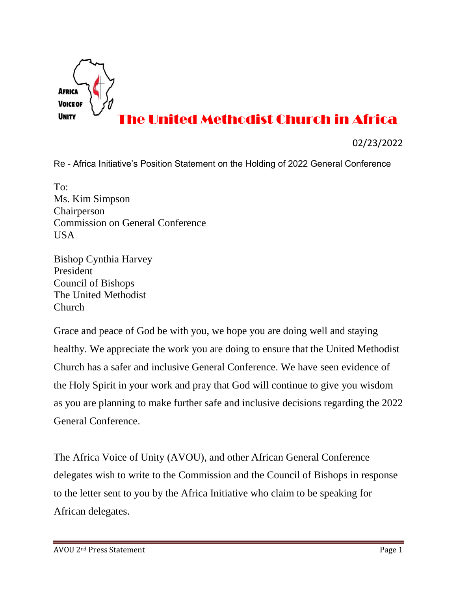

## The United Methodist Church in Africa

02/23/2022

Re - Africa Initiative's Position Statement on the Holding of 2022 General Conference

To: Ms. Kim Simpson Chairperson Commission on General Conference USA

Bishop Cynthia Harvey President Council of Bishops The United Methodist Church

Grace and peace of God be with you, we hope you are doing well and staying healthy. We appreciate the work you are doing to ensure that the United Methodist Church has a safer and inclusive General Conference. We have seen evidence of the Holy Spirit in your work and pray that God will continue to give you wisdom as you are planning to make further safe and inclusive decisions regarding the 2022 General Conference.

The Africa Voice of Unity (AVOU), and other African General Conference delegates wish to write to the Commission and the Council of Bishops in response to the letter sent to you by the Africa Initiative who claim to be speaking for African delegates.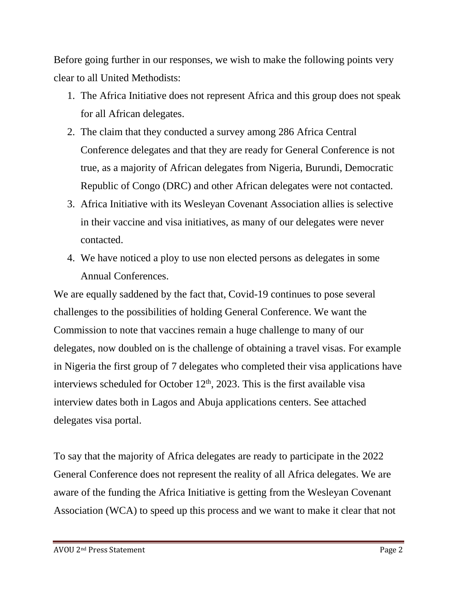Before going further in our responses, we wish to make the following points very clear to all United Methodists:

- 1. The Africa Initiative does not represent Africa and this group does not speak for all African delegates.
- 2. The claim that they conducted a survey among 286 Africa Central Conference delegates and that they are ready for General Conference is not true, as a majority of African delegates from Nigeria, Burundi, Democratic Republic of Congo (DRC) and other African delegates were not contacted.
- 3. Africa Initiative with its Wesleyan Covenant Association allies is selective in their vaccine and visa initiatives, as many of our delegates were never contacted.
- 4. We have noticed a ploy to use non elected persons as delegates in some Annual Conferences.

We are equally saddened by the fact that, Covid-19 continues to pose several challenges to the possibilities of holding General Conference. We want the Commission to note that vaccines remain a huge challenge to many of our delegates, now doubled on is the challenge of obtaining a travel visas. For example in Nigeria the first group of 7 delegates who completed their visa applications have interviews scheduled for October  $12<sup>th</sup>$ , 2023. This is the first available visa interview dates both in Lagos and Abuja applications centers. See attached delegates visa portal.

To say that the majority of Africa delegates are ready to participate in the 2022 General Conference does not represent the reality of all Africa delegates. We are aware of the funding the Africa Initiative is getting from the Wesleyan Covenant Association (WCA) to speed up this process and we want to make it clear that not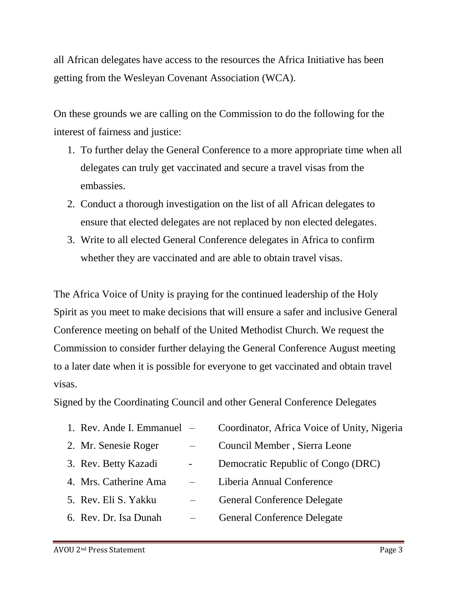all African delegates have access to the resources the Africa Initiative has been getting from the Wesleyan Covenant Association (WCA).

On these grounds we are calling on the Commission to do the following for the interest of fairness and justice:

- 1. To further delay the General Conference to a more appropriate time when all delegates can truly get vaccinated and secure a travel visas from the embassies.
- 2. Conduct a thorough investigation on the list of all African delegates to ensure that elected delegates are not replaced by non elected delegates.
- 3. Write to all elected General Conference delegates in Africa to confirm whether they are vaccinated and are able to obtain travel visas.

The Africa Voice of Unity is praying for the continued leadership of the Holy Spirit as you meet to make decisions that will ensure a safer and inclusive General Conference meeting on behalf of the United Methodist Church. We request the Commission to consider further delaying the General Conference August meeting to a later date when it is possible for everyone to get vaccinated and obtain travel visas.

Signed by the Coordinating Council and other General Conference Delegates

| 1. Rev. Ande I. Emmanuel $-$ |   | Coordinator, Africa Voice of Unity, Nigeria |
|------------------------------|---|---------------------------------------------|
| 2. Mr. Senesie Roger         |   | Council Member, Sierra Leone                |
| 3. Rev. Betty Kazadi         | - | Democratic Republic of Congo (DRC)          |
| 4. Mrs. Catherine Ama        |   | Liberia Annual Conference                   |
| 5. Rev. Eli S. Yakku         |   | <b>General Conference Delegate</b>          |
| 6. Rev. Dr. Isa Dunah        |   | <b>General Conference Delegate</b>          |